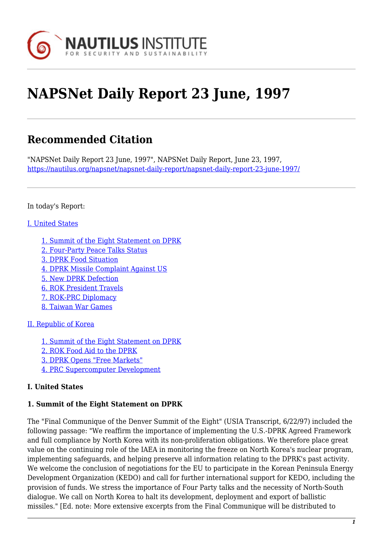

# **NAPSNet Daily Report 23 June, 1997**

## **Recommended Citation**

"NAPSNet Daily Report 23 June, 1997", NAPSNet Daily Report, June 23, 1997, <https://nautilus.org/napsnet/napsnet-daily-report/napsnet-daily-report-23-june-1997/>

#### In today's Report:

#### [I. United States](#page-2-0)

- [1. Summit of the Eight Statement on DPRK](#page-2-1)
- [2. Four-Party Peace Talks Status](#page-3-0)
- [3. DPRK Food Situation](#page-3-1)
- [4. DPRK Missile Complaint Against US](#page-4-0)
- [5. New DPRK Defection](#page-4-1)
- [6. ROK President Travels](#page-4-2)
- [7. ROK-PRC Diplomacy](#page-4-3)
- [8. Taiwan War Games](#page-4-4)

#### [II. Republic of Korea](#page-5-0)

- [1. Summit of the Eight Statement on DPRK](#page-5-1)
- [2. ROK Food Aid to the DPRK](#page-5-2)
- [3. DPRK Opens "Free Markets"](#page-5-3)
- [4. PRC Supercomputer Development](#page-5-4)

#### **I. United States**

#### **1. Summit of the Eight Statement on DPRK**

The "Final Communique of the Denver Summit of the Eight" (USIA Transcript, 6/22/97) included the following passage: "We reaffirm the importance of implementing the U.S.-DPRK Agreed Framework and full compliance by North Korea with its non-proliferation obligations. We therefore place great value on the continuing role of the IAEA in monitoring the freeze on North Korea's nuclear program, implementing safeguards, and helping preserve all information relating to the DPRK's past activity. We welcome the conclusion of negotiations for the EU to participate in the Korean Peninsula Energy Development Organization (KEDO) and call for further international support for KEDO, including the provision of funds. We stress the importance of Four Party talks and the necessity of North-South dialogue. We call on North Korea to halt its development, deployment and export of ballistic missiles." [Ed. note: More extensive excerpts from the Final Communique will be distributed to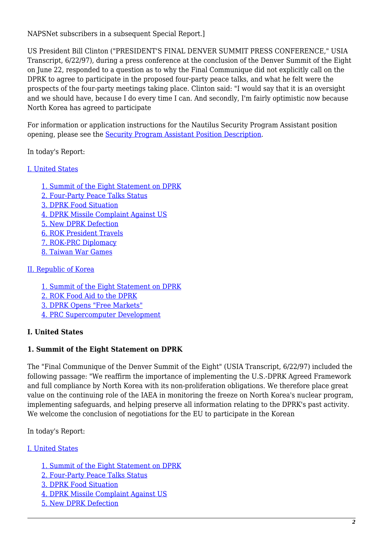NAPSNet subscribers in a subsequent Special Report.]

US President Bill Clinton ("PRESIDENT'S FINAL DENVER SUMMIT PRESS CONFERENCE," USIA Transcript, 6/22/97), during a press conference at the conclusion of the Denver Summit of the Eight on June 22, responded to a question as to why the Final Communique did not explicitly call on the DPRK to agree to participate in the proposed four-party peace talks, and what he felt were the prospects of the four-party meetings taking place. Clinton said: "I would say that it is an oversight and we should have, because I do every time I can. And secondly, I'm fairly optimistic now because North Korea has agreed to participate

For information or application instructions for the Nautilus Security Program Assistant position opening, please see the [Security Program Assistant Position Description](http://www.nautilus.org/SecAsst.html).

In today's Report:

#### [I. United States](#page-2-0)

[1. Summit of the Eight Statement on DPRK](#page-2-1) [2. Four-Party Peace Talks Status](#page-3-0) [3. DPRK Food Situation](#page-3-1) [4. DPRK Missile Complaint Against US](#page-4-0) [5. New DPRK Defection](#page-4-1) [6. ROK President Travels](#page-4-2) [7. ROK-PRC Diplomacy](#page-4-3) [8. Taiwan War Games](#page-4-4)

### [II. Republic of Korea](#page-5-0)

[1. Summit of the Eight Statement on DPRK](#page-5-1) [2. ROK Food Aid to the DPRK](#page-5-2) [3. DPRK Opens "Free Markets"](#page-5-3) [4. PRC Supercomputer Development](#page-5-4)

## **I. United States**

#### **1. Summit of the Eight Statement on DPRK**

The "Final Communique of the Denver Summit of the Eight" (USIA Transcript, 6/22/97) included the following passage: "We reaffirm the importance of implementing the U.S.-DPRK Agreed Framework and full compliance by North Korea with its non-proliferation obligations. We therefore place great value on the continuing role of the IAEA in monitoring the freeze on North Korea's nuclear program, implementing safeguards, and helping preserve all information relating to the DPRK's past activity. We welcome the conclusion of negotiations for the EU to participate in the Korean

In today's Report:

#### [I. United States](#page-2-0)

- [1. Summit of the Eight Statement on DPRK](#page-2-1)
- [2. Four-Party Peace Talks Status](#page-3-0)
- [3. DPRK Food Situation](#page-3-1)
- [4. DPRK Missile Complaint Against US](#page-4-0)
- [5. New DPRK Defection](#page-4-1)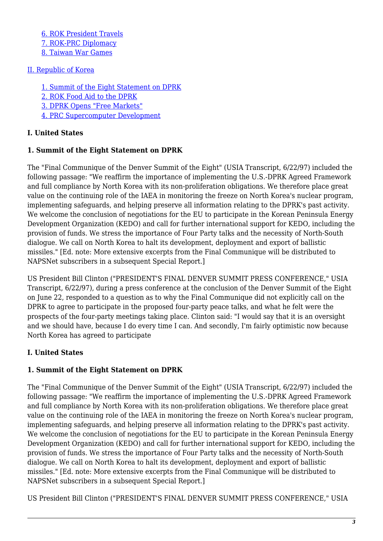[6. ROK President Travels](#page-4-2) [7. ROK-PRC Diplomacy](#page-4-3) [8. Taiwan War Games](#page-4-4)

### [II. Republic of Korea](#page-5-0)

[1. Summit of the Eight Statement on DPRK](#page-5-1) [2. ROK Food Aid to the DPRK](#page-5-2) [3. DPRK Opens "Free Markets"](#page-5-3) [4. PRC Supercomputer Development](#page-5-4)

## **I. United States**

## **1. Summit of the Eight Statement on DPRK**

The "Final Communique of the Denver Summit of the Eight" (USIA Transcript, 6/22/97) included the following passage: "We reaffirm the importance of implementing the U.S.-DPRK Agreed Framework and full compliance by North Korea with its non-proliferation obligations. We therefore place great value on the continuing role of the IAEA in monitoring the freeze on North Korea's nuclear program, implementing safeguards, and helping preserve all information relating to the DPRK's past activity. We welcome the conclusion of negotiations for the EU to participate in the Korean Peninsula Energy Development Organization (KEDO) and call for further international support for KEDO, including the provision of funds. We stress the importance of Four Party talks and the necessity of North-South dialogue. We call on North Korea to halt its development, deployment and export of ballistic missiles." [Ed. note: More extensive excerpts from the Final Communique will be distributed to NAPSNet subscribers in a subsequent Special Report.]

US President Bill Clinton ("PRESIDENT'S FINAL DENVER SUMMIT PRESS CONFERENCE," USIA Transcript, 6/22/97), during a press conference at the conclusion of the Denver Summit of the Eight on June 22, responded to a question as to why the Final Communique did not explicitly call on the DPRK to agree to participate in the proposed four-party peace talks, and what he felt were the prospects of the four-party meetings taking place. Clinton said: "I would say that it is an oversight and we should have, because I do every time I can. And secondly, I'm fairly optimistic now because North Korea has agreed to participate

## <span id="page-2-0"></span>**I. United States**

## <span id="page-2-1"></span>**1. Summit of the Eight Statement on DPRK**

The "Final Communique of the Denver Summit of the Eight" (USIA Transcript, 6/22/97) included the following passage: "We reaffirm the importance of implementing the U.S.-DPRK Agreed Framework and full compliance by North Korea with its non-proliferation obligations. We therefore place great value on the continuing role of the IAEA in monitoring the freeze on North Korea's nuclear program, implementing safeguards, and helping preserve all information relating to the DPRK's past activity. We welcome the conclusion of negotiations for the EU to participate in the Korean Peninsula Energy Development Organization (KEDO) and call for further international support for KEDO, including the provision of funds. We stress the importance of Four Party talks and the necessity of North-South dialogue. We call on North Korea to halt its development, deployment and export of ballistic missiles." [Ed. note: More extensive excerpts from the Final Communique will be distributed to NAPSNet subscribers in a subsequent Special Report.]

US President Bill Clinton ("PRESIDENT'S FINAL DENVER SUMMIT PRESS CONFERENCE," USIA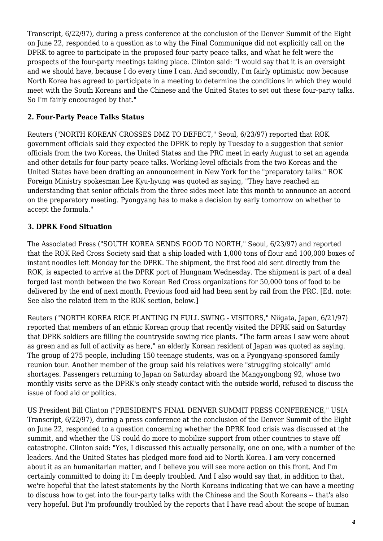Transcript, 6/22/97), during a press conference at the conclusion of the Denver Summit of the Eight on June 22, responded to a question as to why the Final Communique did not explicitly call on the DPRK to agree to participate in the proposed four-party peace talks, and what he felt were the prospects of the four-party meetings taking place. Clinton said: "I would say that it is an oversight and we should have, because I do every time I can. And secondly, I'm fairly optimistic now because North Korea has agreed to participate in a meeting to determine the conditions in which they would meet with the South Koreans and the Chinese and the United States to set out these four-party talks. So I'm fairly encouraged by that."

## <span id="page-3-0"></span>**2. Four-Party Peace Talks Status**

Reuters ("NORTH KOREAN CROSSES DMZ TO DEFECT," Seoul, 6/23/97) reported that ROK government officials said they expected the DPRK to reply by Tuesday to a suggestion that senior officials from the two Koreas, the United States and the PRC meet in early August to set an agenda and other details for four-party peace talks. Working-level officials from the two Koreas and the United States have been drafting an announcement in New York for the "preparatory talks." ROK Foreign Ministry spokesman Lee Kyu-hyung was quoted as saying, "They have reached an understanding that senior officials from the three sides meet late this month to announce an accord on the preparatory meeting. Pyongyang has to make a decision by early tomorrow on whether to accept the formula."

## <span id="page-3-1"></span>**3. DPRK Food Situation**

The Associated Press ("SOUTH KOREA SENDS FOOD TO NORTH," Seoul, 6/23/97) and reported that the ROK Red Cross Society said that a ship loaded with 1,000 tons of flour and 100,000 boxes of instant noodles left Monday for the DPRK. The shipment, the first food aid sent directly from the ROK, is expected to arrive at the DPRK port of Hungnam Wednesday. The shipment is part of a deal forged last month between the two Korean Red Cross organizations for 50,000 tons of food to be delivered by the end of next month. Previous food aid had been sent by rail from the PRC. [Ed. note: See also the related item in the ROK section, below.]

Reuters ("NORTH KOREA RICE PLANTING IN FULL SWING - VISITORS," Niigata, Japan, 6/21/97) reported that members of an ethnic Korean group that recently visited the DPRK said on Saturday that DPRK soldiers are filling the countryside sowing rice plants. "The farm areas I saw were about as green and as full of activity as here," an elderly Korean resident of Japan was quoted as saying. The group of 275 people, including 150 teenage students, was on a Pyongyang-sponsored family reunion tour. Another member of the group said his relatives were "struggling stoically" amid shortages. Passengers returning to Japan on Saturday aboard the Mangyongbong 92, whose two monthly visits serve as the DPRK's only steady contact with the outside world, refused to discuss the issue of food aid or politics.

US President Bill Clinton ("PRESIDENT'S FINAL DENVER SUMMIT PRESS CONFERENCE," USIA Transcript, 6/22/97), during a press conference at the conclusion of the Denver Summit of the Eight on June 22, responded to a question concerning whether the DPRK food crisis was discussed at the summit, and whether the US could do more to mobilize support from other countries to stave off catastrophe. Clinton said: "Yes, I discussed this actually personally, one on one, with a number of the leaders. And the United States has pledged more food aid to North Korea. I am very concerned about it as an humanitarian matter, and I believe you will see more action on this front. And I'm certainly committed to doing it; I'm deeply troubled. And I also would say that, in addition to that, we're hopeful that the latest statements by the North Koreans indicating that we can have a meeting to discuss how to get into the four-party talks with the Chinese and the South Koreans -- that's also very hopeful. But I'm profoundly troubled by the reports that I have read about the scope of human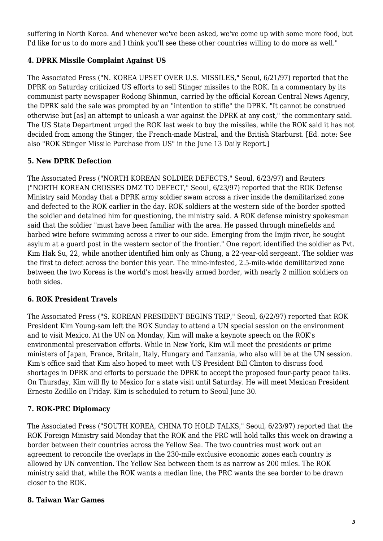suffering in North Korea. And whenever we've been asked, we've come up with some more food, but I'd like for us to do more and I think you'll see these other countries willing to do more as well."

## <span id="page-4-0"></span>**4. DPRK Missile Complaint Against US**

The Associated Press ("N. KOREA UPSET OVER U.S. MISSILES," Seoul, 6/21/97) reported that the DPRK on Saturday criticized US efforts to sell Stinger missiles to the ROK. In a commentary by its communist party newspaper Rodong Shinmun, carried by the official Korean Central News Agency, the DPRK said the sale was prompted by an "intention to stifle" the DPRK. "It cannot be construed otherwise but [as] an attempt to unleash a war against the DPRK at any cost," the commentary said. The US State Department urged the ROK last week to buy the missiles, while the ROK said it has not decided from among the Stinger, the French-made Mistral, and the British Starburst. [Ed. note: See also "ROK Stinger Missile Purchase from US" in the June 13 Daily Report.]

### <span id="page-4-1"></span>**5. New DPRK Defection**

The Associated Press ("NORTH KOREAN SOLDIER DEFECTS," Seoul, 6/23/97) and Reuters ("NORTH KOREAN CROSSES DMZ TO DEFECT," Seoul, 6/23/97) reported that the ROK Defense Ministry said Monday that a DPRK army soldier swam across a river inside the demilitarized zone and defected to the ROK earlier in the day. ROK soldiers at the western side of the border spotted the soldier and detained him for questioning, the ministry said. A ROK defense ministry spokesman said that the soldier "must have been familiar with the area. He passed through minefields and barbed wire before swimming across a river to our side. Emerging from the Imjin river, he sought asylum at a guard post in the western sector of the frontier." One report identified the soldier as Pvt. Kim Hak Su, 22, while another identified him only as Chung, a 22-year-old sergeant. The soldier was the first to defect across the border this year. The mine-infested, 2.5-mile-wide demilitarized zone between the two Koreas is the world's most heavily armed border, with nearly 2 million soldiers on both sides.

#### <span id="page-4-2"></span>**6. ROK President Travels**

The Associated Press ("S. KOREAN PRESIDENT BEGINS TRIP," Seoul, 6/22/97) reported that ROK President Kim Young-sam left the ROK Sunday to attend a UN special session on the environment and to visit Mexico. At the UN on Monday, Kim will make a keynote speech on the ROK's environmental preservation efforts. While in New York, Kim will meet the presidents or prime ministers of Japan, France, Britain, Italy, Hungary and Tanzania, who also will be at the UN session. Kim's office said that Kim also hoped to meet with US President Bill Clinton to discuss food shortages in DPRK and efforts to persuade the DPRK to accept the proposed four-party peace talks. On Thursday, Kim will fly to Mexico for a state visit until Saturday. He will meet Mexican President Ernesto Zedillo on Friday. Kim is scheduled to return to Seoul June 30.

#### <span id="page-4-3"></span>**7. ROK-PRC Diplomacy**

The Associated Press ("SOUTH KOREA, CHINA TO HOLD TALKS," Seoul, 6/23/97) reported that the ROK Foreign Ministry said Monday that the ROK and the PRC will hold talks this week on drawing a border between their countries across the Yellow Sea. The two countries must work out an agreement to reconcile the overlaps in the 230-mile exclusive economic zones each country is allowed by UN convention. The Yellow Sea between them is as narrow as 200 miles. The ROK ministry said that, while the ROK wants a median line, the PRC wants the sea border to be drawn closer to the ROK.

#### <span id="page-4-4"></span>**8. Taiwan War Games**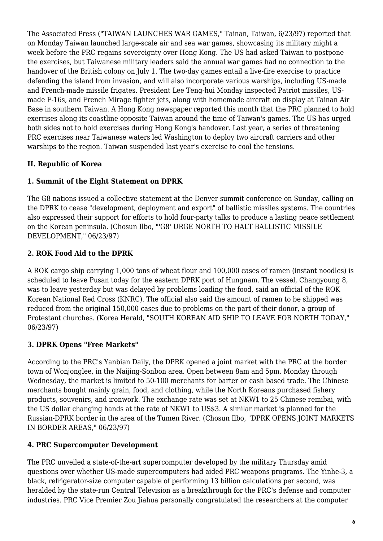The Associated Press ("TAIWAN LAUNCHES WAR GAMES," Tainan, Taiwan, 6/23/97) reported that on Monday Taiwan launched large-scale air and sea war games, showcasing its military might a week before the PRC regains sovereignty over Hong Kong. The US had asked Taiwan to postpone the exercises, but Taiwanese military leaders said the annual war games had no connection to the handover of the British colony on July 1. The two-day games entail a live-fire exercise to practice defending the island from invasion, and will also incorporate various warships, including US-made and French-made missile frigates. President Lee Teng-hui Monday inspected Patriot missiles, USmade F-16s, and French Mirage fighter jets, along with homemade aircraft on display at Tainan Air Base in southern Taiwan. A Hong Kong newspaper reported this month that the PRC planned to hold exercises along its coastline opposite Taiwan around the time of Taiwan's games. The US has urged both sides not to hold exercises during Hong Kong's handover. Last year, a series of threatening PRC exercises near Taiwanese waters led Washington to deploy two aircraft carriers and other warships to the region. Taiwan suspended last year's exercise to cool the tensions.

## <span id="page-5-0"></span>**II. Republic of Korea**

## <span id="page-5-1"></span>**1. Summit of the Eight Statement on DPRK**

The G8 nations issued a collective statement at the Denver summit conference on Sunday, calling on the DPRK to cease "development, deployment and export" of ballistic missiles systems. The countries also expressed their support for efforts to hold four-party talks to produce a lasting peace settlement on the Korean peninsula. (Chosun Ilbo, "'G8' URGE NORTH TO HALT BALLISTIC MISSILE DEVELOPMENT," 06/23/97)

## <span id="page-5-2"></span>**2. ROK Food Aid to the DPRK**

A ROK cargo ship carrying 1,000 tons of wheat flour and 100,000 cases of ramen (instant noodles) is scheduled to leave Pusan today for the eastern DPRK port of Hungnam. The vessel, Changyoung 8, was to leave yesterday but was delayed by problems loading the food, said an official of the ROK Korean National Red Cross (KNRC). The official also said the amount of ramen to be shipped was reduced from the original 150,000 cases due to problems on the part of their donor, a group of Protestant churches. (Korea Herald, "SOUTH KOREAN AID SHIP TO LEAVE FOR NORTH TODAY," 06/23/97)

## <span id="page-5-3"></span>**3. DPRK Opens "Free Markets"**

According to the PRC's Yanbian Daily, the DPRK opened a joint market with the PRC at the border town of Wonjonglee, in the Naijing-Sonbon area. Open between 8am and 5pm, Monday through Wednesday, the market is limited to 50-100 merchants for barter or cash based trade. The Chinese merchants bought mainly grain, food, and clothing, while the North Koreans purchased fishery products, souvenirs, and ironwork. The exchange rate was set at NKW1 to 25 Chinese remibai, with the US dollar changing hands at the rate of NKW1 to US\$3. A similar market is planned for the Russian-DPRK border in the area of the Tumen River. (Chosun Ilbo, "DPRK OPENS JOINT MARKETS IN BORDER AREAS," 06/23/97)

## <span id="page-5-4"></span>**4. PRC Supercomputer Development**

The PRC unveiled a state-of-the-art supercomputer developed by the military Thursday amid questions over whether US-made supercomputers had aided PRC weapons programs. The Yinhe-3, a black, refrigerator-size computer capable of performing 13 billion calculations per second, was heralded by the state-run Central Television as a breakthrough for the PRC's defense and computer industries. PRC Vice Premier Zou Jiahua personally congratulated the researchers at the computer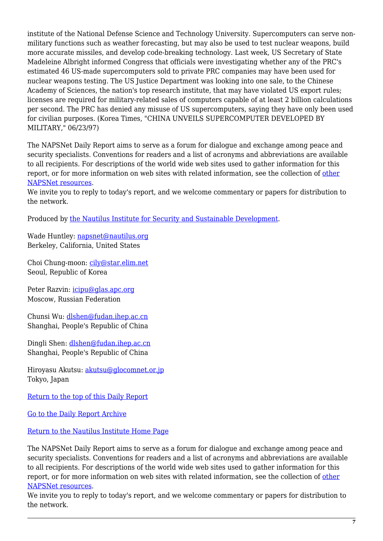institute of the National Defense Science and Technology University. Supercomputers can serve nonmilitary functions such as weather forecasting, but may also be used to test nuclear weapons, build more accurate missiles, and develop code-breaking technology. Last week, US Secretary of State Madeleine Albright informed Congress that officials were investigating whether any of the PRC's estimated 46 US-made supercomputers sold to private PRC companies may have been used for nuclear weapons testing. The US Justice Department was looking into one sale, to the Chinese Academy of Sciences, the nation's top research institute, that may have violated US export rules; licenses are required for military-related sales of computers capable of at least 2 billion calculations per second. The PRC has denied any misuse of US supercomputers, saying they have only been used for civilian purposes. (Korea Times, "CHINA UNVEILS SUPERCOMPUTER DEVELOPED BY MILITARY," 06/23/97)

The NAPSNet Daily Report aims to serve as a forum for dialogue and exchange among peace and security specialists. Conventions for readers and a list of acronyms and abbreviations are available to all recipients. For descriptions of the world wide web sites used to gather information for this report, or for more information on web sites with related information, see the collection of [other](http://www.nautilus.org/napsnet/othnaps.html) [NAPSNet resources.](http://www.nautilus.org/napsnet/othnaps.html)

We invite you to reply to today's report, and we welcome commentary or papers for distribution to the network.

Produced by [the Nautilus Institute for Security and Sustainable Development](http://www.nautilus.org/morenaut.html).

Wade Huntley: [napsnet@nautilus.org](mailto:napsnet@nautilus.org) Berkeley, California, United States

Choi Chung-moon: [cily@star.elim.net](mailto:cily@star.elim.net) Seoul, Republic of Korea

Peter Razvin: [icipu@glas.apc.org](mailto:icipu@glas.apc.org) Moscow, Russian Federation

Chunsi Wu: [dlshen@fudan.ihep.ac.cn](mailto:dlshen@fudan.ihep.ac.cn (Chunsi Wu)) Shanghai, People's Republic of China

Dingli Shen: [dlshen@fudan.ihep.ac.cn](mailto:dlshen@fudan.ihep.ac.cn (Dingli Shen)) Shanghai, People's Republic of China

Hiroyasu Akutsu: [akutsu@glocomnet.or.jp](mailto:akutsu@glocomnet.or.jp) Tokyo, Japan

[Return to the top of this Daily Report](#page--1-0)

[Go to the Daily Report Archive](ftp://ftp.nautilus.org/napsnet/daily_reports)

[Return to the Nautilus Institute Home Page](http://www.nautilus.org)

The NAPSNet Daily Report aims to serve as a forum for dialogue and exchange among peace and security specialists. Conventions for readers and a list of acronyms and abbreviations are available to all recipients. For descriptions of the world wide web sites used to gather information for this report, or for more information on web sites with related information, see the collection of [other](http://www.nautilus.org/napsnet/othnaps.html) [NAPSNet resources.](http://www.nautilus.org/napsnet/othnaps.html)

We invite you to reply to today's report, and we welcome commentary or papers for distribution to the network.